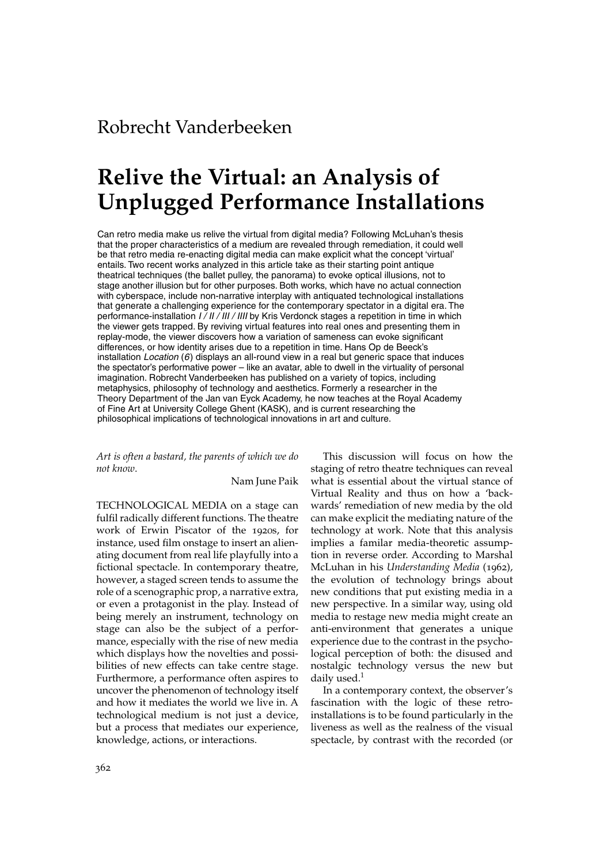# **Relive the Virtual: an Analysis of Unplugged Performance Installations**

Can retro media make us relive the virtual from digital media? Following McLuhan's thesis that the proper characteristics of a medium are revealed through remediation, it could well be that retro media re-enacting digital media can make explicit what the concept 'virtual' entails. Two recent works analyzed in this article take as their starting point antique theatrical techniques (the ballet pulley, the panorama) to evoke optical illusions, not to stage another illusion but for other purposes. Both works, which have no actual connection with cyberspace, include non-narrative interplay with antiquated technological installations that generate a challenging experience for the contemporary spectator in a digital era. The performance-installation  $I/II/III/III$  by Kris Verdonck stages a repetition in time in which the viewer gets trapped. By reviving virtual features into real ones and presenting them in replay-mode, the viewer discovers how a variation of sameness can evoke significant differences, or how identity arises due to a repetition in time. Hans Op de Beeck's installation *Location*  $(6)$  displays an all-round view in a real but generic space that induces the spectator's performative power – like an avatar, able to dwell in the virtuality of personal imagination. Robrecht Vanderbeeken has published on a variety of topics, including metaphysics, philosophy of technology and aesthetics. Formerly a researcher in the Theory Department of the Jan van Eyck Academy, he now teaches at the Royal Academy of Fine Art at University College Ghent (KASK), and is current researching the philosophical implications of technological innovations in art and culture.

*Art is often a bastard, the parents of which we do not know*.

Nam June Paik

TECHNOLOGICAL MEDIA on a stage can fulfil radically different functions. The theatre work of Erwin Piscator of the 1920s, for instance, used film onstage to insert an alienating document from real life playfully into a fictional spectacle. In contemporary theatre, however, a staged screen tends to assume the role of a scenographic prop, a narrative extra, or even a protagonist in the play. Instead of being merely an instrument, technology on stage can also be the subject of a performance, especially with the rise of new media which displays how the novelties and possibilities of new effects can take centre stage. Furthermore, a performance often aspires to uncover the phenomenon of technology itself and how it mediates the world we live in. A technological medium is not just a device, but a process that mediates our experience, knowledge, actions, or interactions.

This discussion will focus on how the staging of retro theatre techniques can reveal what is essential about the virtual stance of Virtual Reality and thus on how a 'backwards' remediation of new media by the old can make explicit the mediating nature of the technology at work. Note that this analysis implies a familar media-theoretic assumption in reverse order. According to Marshal McLuhan in his *Understanding Media* (1962), the evolution of technology brings about new conditions that put existing media in a new perspective. In a similar way, using old media to restage new media might create an anti-environment that generates a unique experience due to the contrast in the psychological perception of both: the disused and nostalgic technology versus the new but daily used.<sup>1</sup>

In a contemporary context, the observer's fascination with the logic of these retroinstallations is to be found particularly in the liveness as well as the realness of the visual spectacle, by contrast with the recorded (or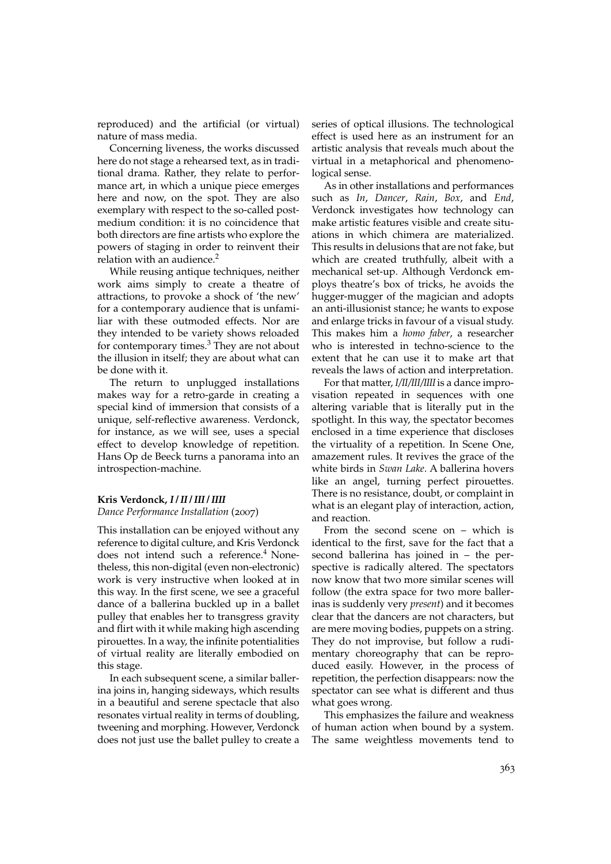reproduced) and the artificial (or virtual) nature of mass media.

Concerning liveness, the works discussed here do not stage a rehearsed text, as in traditional drama. Rather, they relate to performance art, in which a unique piece emerges here and now, on the spot. They are also exemplary with respect to the so-called postmedium condition: it is no coincidence that both directors are fine artists who explore the powers of staging in order to reinvent their relation with an audience.<sup>2</sup>

While reusing antique techniques, neither work aims simply to create a theatre of attractions, to provoke a shock of 'the new' for a contemporary audience that is unfamiliar with these outmoded effects. Nor are they intended to be variety shows reloaded for contemporary times. $3$  They are not about the illusion in itself; they are about what can be done with it.

The return to unplugged installations makes way for a retro-garde in creating a special kind of immersion that consists of a unique, self-reflective awareness. Verdonck, for instance, as we will see, uses a special effect to develop knowledge of repetition. Hans Op de Beeck turns a panorama into an introspection-machine.

### **Kris Verdonck,** *I / II / III / IIII*

*Dance Performance Installation* (2007)

This installation can be enjoyed without any reference to digital culture, and Kris Verdonck does not intend such a reference.<sup>4</sup> Nonetheless, this non-digital (even non-electronic) work is very instructive when looked at in this way. In the first scene, we see a graceful dance of a ballerina buckled up in a ballet pulley that enables her to transgress gravity and flirt with it while making high ascending pirouettes. In a way, the infinite potentialities of virtual reality are literally embodied on this stage.

In each subsequent scene, a similar ballerina joins in, hanging sideways, which results in a beautiful and serene spectacle that also resonates virtual reality in terms of doubling, tweening and morphing. However, Verdonck does not just use the ballet pulley to create a

series of optical illusions. The technological effect is used here as an instrument for an artistic analysis that reveals much about the virtual in a metaphorical and phenomenological sense.

As in other installations and performances such as *In*, *Dancer*, *Rain*, *Box*, and *End*, Verdonck investigates how technology can make artistic features visible and create situations in which chimera are materialized. This results in delusions that are not fake, but which are created truthfully, albeit with a mechanical set-up. Although Verdonck employs theatre's box of tricks, he avoids the hugger-mugger of the magician and adopts an anti-illusionist stance; he wants to expose and enlarge tricks in favour of a visual study. This makes him a *homo faber*, a researcher who is interested in techno-science to the extent that he can use it to make art that reveals the laws of action and interpretation.

For that matter,  $I/II/III/III$  is a dance improvisation repeated in sequences with one altering variable that is literally put in the spotlight. In this way, the spectator becomes enclosed in a time experience that discloses the virtuality of a repetition. In Scene One, amazement rules. It revives the grace of the white birds in *Swan Lake*. A ballerina hovers like an angel, turning perfect pirouettes. There is no resistance, doubt, or complaint in what is an elegant play of interaction, action, and reaction.

From the second scene on – which is identical to the first, save for the fact that a second ballerina has joined in  $-$  the perspective is radically altered. The spectators now know that two more similar scenes will follow (the extra space for two more ballerinas is suddenly very *present*) and it becomes clear that the dancers are not characters, but are mere moving bodies, puppets on a string. They do not improvise, but follow a rudimentary choreography that can be reproduced easily. However, in the process of repetition, the perfection disappears: now the spectator can see what is different and thus what goes wrong.

This emphasizes the failure and weakness of human action when bound by a system. The same weightless movements tend to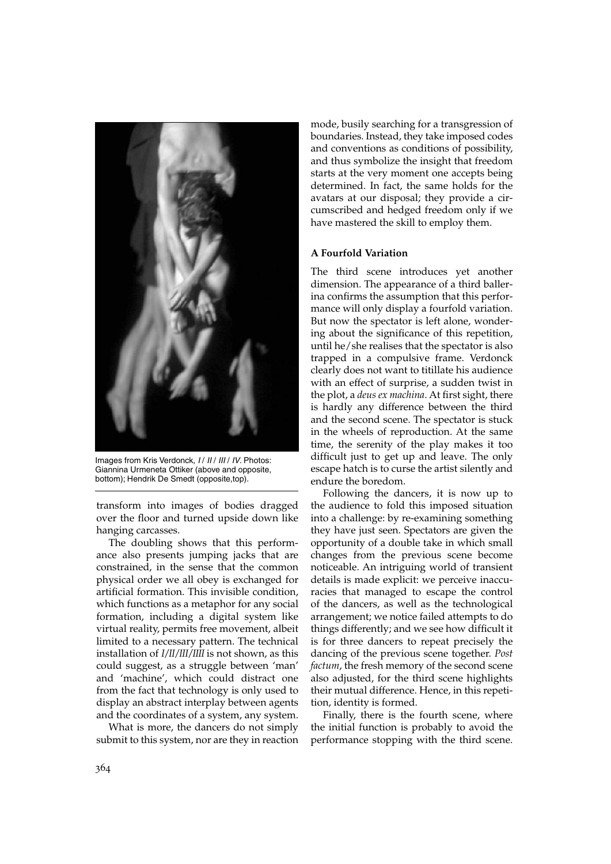

Images from Kris Verdonck,  $1/11/111/1V$ . Photos: Giannina Urmeneta Ottiker (above and opposite, bottom); Hendrik De Smedt (opposite,top).

trans form into images of bodies dragged over the floor and turned upside down like hanging carcasses.

The doubling shows that this performance also presents jumping jacks that are constrained, in the sense that the common physical order we all obey is exchanged for artificial formation. This invisible condition, which functions as a metaphor for any social formation, including a digital system like virtual reality, permits free movement, albeit limited to a necessary pattern. The technical installation of *I/II/III/IIII* is not shown, as this could suggest, as a struggle between 'man' and 'machine', which could distract one from the fact that technology is only used to display an abstract interplay between agents and the coordinates of a system, any system.

What is more, the dancers do not simply submit to this system, nor are they in reaction

mode, busily searching for a transgression of boundaries. Instead, they take imposed codes and conventions as conditions of possibility, and thus symbolize the insight that freedom starts at the very moment one accepts being determined. In fact, the same holds for the avatars at our disposal; they provide a circum scribed and hedged freedom only if we have mastered the skill to employ them.

## **A Fourfold Variation**

The third scene introduces yet another dimension. The appearance of a third baller ina confirms the assumption that this performance will only display a fourfold variation. But now the spectator is left alone, wondering about the significance of this repetition, until he/she realises that the spectator is also trapped in a compulsive frame. Verdonck clearly does not want to titillate his audience with an effect of surprise, a sudden twist in the plot, a *deus ex machina*. At first sight, there is hardly any difference between the third and the second scene. The spectator is stuck in the wheels of reproduction. At the same time, the serenity of the play makes it too difficult just to get up and leave. The only escape hatch is to curse the artist silently and endure the boredom.

Following the dancers, it is now up to the audience to fold this imposed situation into a challenge: by re-examining something they have just seen. Spectators are given the opportunity of a double take in which small changes from the previous scene become noticeable. An intriguing world of transient details is made explicit: we perceive inaccuracies that managed to escape the control of the dancers, as well as the technological arrangement; we notice failed attempts to do things differently; and we see how difficult it is for three dancers to repeat precisely the dancing of the previous scene together. *Post factum*, the fresh memory of the second scene also adjusted, for the third scene highlights their mutual difference. Hence, in this repetition, identity is formed.

Finally, there is the fourth scene, where the initial function is probably to avoid the performance stopping with the third scene.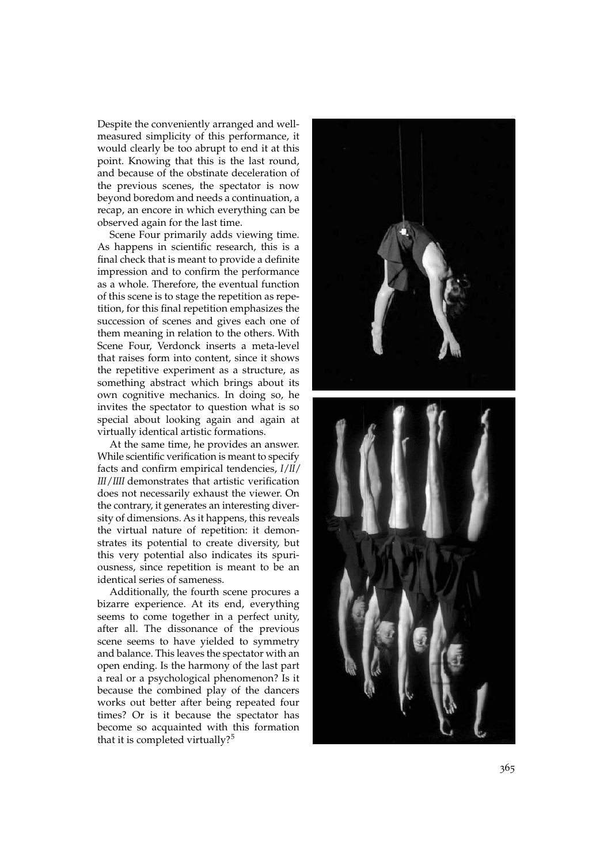Despite the conveniently arranged and wellmeasured simplicity of this performance, it would clearly be too abrupt to end it at this point. Knowing that this is the last round, and because of the obstinate deceleration of the previous scenes, the spectator is now beyond boredom and needs a continuation, a recap, an encore in which everything can be observed again for the last time.

Scene Four primarily adds viewing time. As happens in scientific research, this is a final check that is meant to provide a definite impression and to confirm the performance as a whole. Therefore, the eventual function of this scene is to stage the repetition as repe tition, for this final repetition emphasizes the succession of scenes and gives each one of them meaning in relation to the others. With Scene Four, Verdonck inserts a meta-level that raises form into content, since it shows the repetitive experiment as a structure, as something abstract which brings about its own cognitive mechanics. In doing so, he invites the spectator to question what is so special about looking again and again at virtually identical artistic formations.

At the same time, he provides an answer. While scientific verification is meant to specify facts and confirm empirical tendencies, *I/II/ III / IIII* demonstrates that artistic verification does not necessarily exhaust the viewer. On the contrary, it generates an interesting diversity of dimensions. As it happens, this reveals the virtual nature of repetition: it demonstrates its potential to create diversity, but this very potential also indicates its spuriousness, since repetition is meant to be an identical series of sameness.

Additionally, the fourth scene procures a bizarre experience. At its end, everything seems to come together in a perfect unity, after all. The dissonance of the previous scene seems to have yielded to symmetry and balance. This leaves the spectator with an open ending. Is the harmony of the last part a real or a psychological phenomenon? Is it because the combined play of the dancers works out better after being repeated four times? Or is it because the spectator has become so acquainted with this formation that it is completed virtually? 5



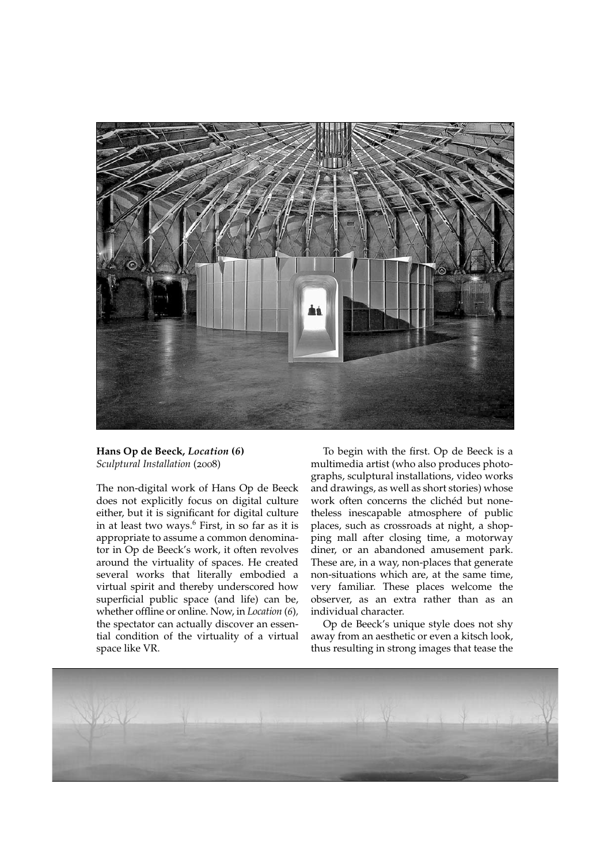

## **Hans Op de Beeck,** *Location* **(***6***)** *Sculptural Installation* (2008)

The non-digital work of Hans Op de Beeck does not explicitly focus on digital culture either, but it is significant for digital culture in at least two ways.<sup>6</sup> First, in so far as it is appropriate to assume a common denominator in Op de Beeck's work, it often revolves around the virtuality of spaces. He created several works that literally embodied a virtual spirit and thereby underscored how superficial public space (and life) can be, whether offline or online. Now, in *Location* (*6*)*,* the spectator can actually discover an essential condition of the virtuality of a virtual space like VR.

To begin with the first. Op de Beeck is a multimedia artist (who also produces photographs, sculptural installations, video works and drawings, as well as short stories) whose work often concerns the clichéd but nonetheless inescapable atmosphere of public places, such as crossroads at night, a shopping mall after closing time, a motorway diner, or an abandoned amusement park. These are, in a way, non-places that generate non-situations which are, at the same time, very familiar. These places welcome the observer, as an extra rather than as an individual character.

Op de Beeck's unique style does not shy away from an aesthetic or even a kitsch look, thus resulting in strong images that tease the

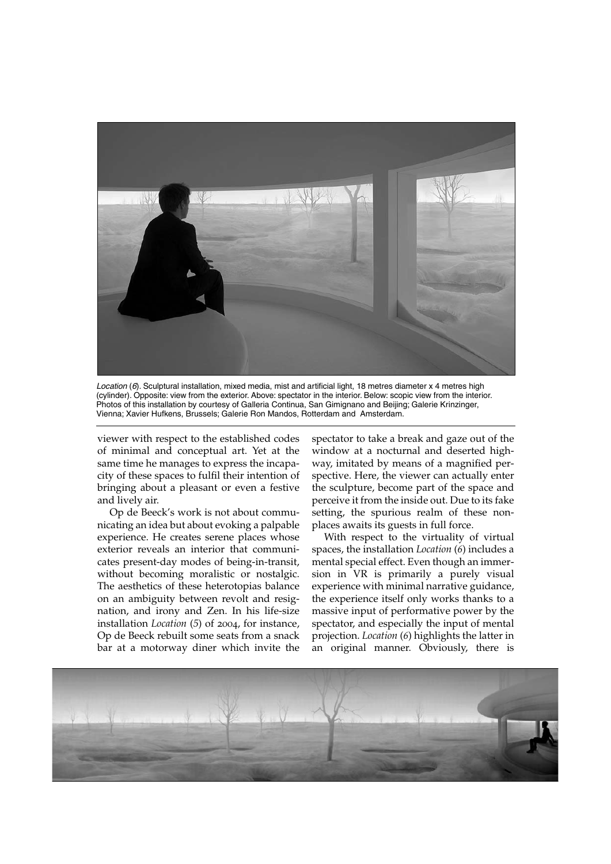

Location (6). Sculptural installation, mixed media, mist and artificial light, 18 metres diameter x 4 metres high (cylinder). Opposite: view from the exterior. Above: spectator in the interior. Below: scopic view from the interior. Photos of this installation by courtesy of Galleria Continua, San Gimignano and Beijing; Galerie Krinzinger, Vienna; Xavier Hufkens, Brussels; Galerie Ron Mandos, Rotterdam and Amsterdam.

viewer with respect to the established codes of minimal and conceptual art. Yet at the same time he manages to express the incapacity of these spaces to fulfil their intention of bringing about a pleasant or even a festive and lively air.

Op de Beeck's work is not about communicating an idea but about evoking a palpable experience. He creates serene places whose exterior reveals an interior that communicates present-day modes of being-in-transit, without becoming moralistic or nostalgic. The aesthetics of these heterotopias balance on an ambiguity between revolt and resignation, and irony and Zen. In his life-size installation *Location* (*5*) of 2004, for instance, Op de Beeck rebuilt some seats from a snack bar at a motorway diner which invite the

spectator to take a break and gaze out of the window at a nocturnal and deserted highway, imitated by means of a magnified perspective. Here, the viewer can actually enter the sculpture, become part of the space and perceive it from the inside out. Due to its fake setting, the spurious realm of these nonplaces awaits its guests in full force.

With respect to the virtuality of virtual spaces, the installation *Location* (*6*) includes a mental special effect. Even though an immersion in VR is primarily a purely visual experience with minimal narrative guidance, the experience itself only works thanks to a massive input of performative power by the spectator, and especially the input of mental projection. *Location* (*6*) highlights the latter in an original manner. Obviously, there is

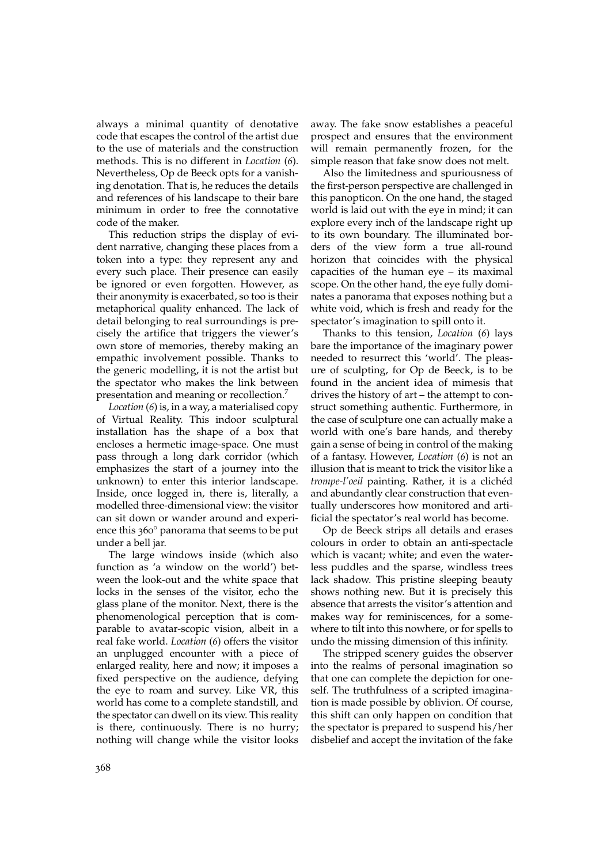always a minimal quantity of denotative code that escapes the control of the artist due to the use of materials and the construction methods. This is no different in *Location* (*6*). Nevertheless, Op de Beeck opts for a vanish ing denotation. That is, he reduces the details and references of his landscape to their bare minimum in order to free the connotative code of the maker.

This reduction strips the display of evident narrative, changing these places from a token into a type: they represent any and every such place. Their presence can easily be ignored or even forgotten. However, as their anonymity is exacerbated, so too is their metaphorical quality enhanced. The lack of detail belonging to real surroundings is precisely the artifice that triggers the viewer's own store of memories, thereby making an empathic involvement possible. Thanks to the generic modelling, it is not the artist but the spectator who makes the link between presentation and meaning or recollection.<sup>7</sup>

*Location* (*6*) is, in a way, a materialised copy of Virtual Reality. This indoor sculptural installation has the shape of a box that encloses a hermetic image-space. One must pass through a long dark corridor (which emphasizes the start of a journey into the unknown) to enter this interior landscape. Inside, once logged in, there is, literally, a modelled three-dimensional view: the visitor can sit down or wander around and experience this 360° panorama that seems to be put under a bell jar.

The large windows inside (which also function as 'a window on the world') between the look-out and the white space that locks in the senses of the visitor, echo the glass plane of the monitor. Next, there is the phenomenological perception that is comparable to avatar-scopic vision, albeit in a real fake world. *Location* (*6*) offers the visitor an unplugged encounter with a piece of enlarged reality, here and now; it imposes a fixed perspective on the audience, defying the eye to roam and survey. Like VR, this world has come to a complete standstill, and the spectator can dwell on its view. This reality is there, continuously. There is no hurry; nothing will change while the visitor looks

away. The fake snow establishes a peaceful prospect and ensures that the environment will remain permanently frozen, for the simple reason that fake snow does not melt.

Also the limitedness and spuriousness of the first-person perspective are challenged in this panopticon. On the one hand, the staged world is laid out with the eye in mind; it can explore every inch of the landscape right up to its own boundary. The illuminated borders of the view form a true all-round horizon that coincides with the physical capacities of the human eye  $-$  its maximal scope. On the other hand, the eye fully dominates a panorama that exposes nothing but a white void, which is fresh and ready for the spectator's imagination to spill onto it.

Thanks to this tension, *Location* (*6*) lays bare the importance of the imaginary power needed to resurrect this 'world'. The pleasure of sculpting, for Op de Beeck, is to be found in the ancient idea of mimesis that drives the history of art – the attempt to construct something authentic. Furthermore, in the case of sculpture one can actually make a world with one's bare hands, and thereby gain a sense of being in control of the making of a fantasy. However, *Location* (*6*) is not an illusion that is meant to trick the visitor like a *trompe-l'oeil* painting. Rather, it is a clichéd and abundantly clear construction that eventually underscores how monitored and artificial the spectator's real world has become.

Op de Beeck strips all details and erases colours in order to obtain an anti-spectacle which is vacant; white; and even the waterless puddles and the sparse, windless trees lack shadow. This pristine sleeping beauty shows nothing new. But it is precisely this absence that arrests the visitor's attention and makes way for reminiscences, for a somewhere to tilt into this nowhere, or for spells to undo the missing dimension of this infinity.

The stripped scenery guides the observer into the realms of personal imagination so that one can complete the depiction for oneself. The truthfulness of a scripted imagination is made possible by oblivion. Of course, this shift can only happen on condition that the spectator is prepared to suspend his/her disbelief and accept the invitation of the fake